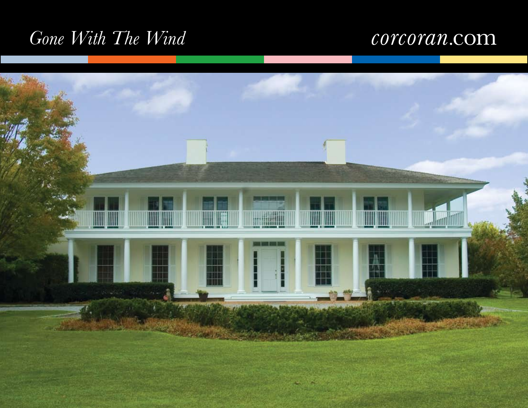# *Gone With The Wind*

## corcoran.com